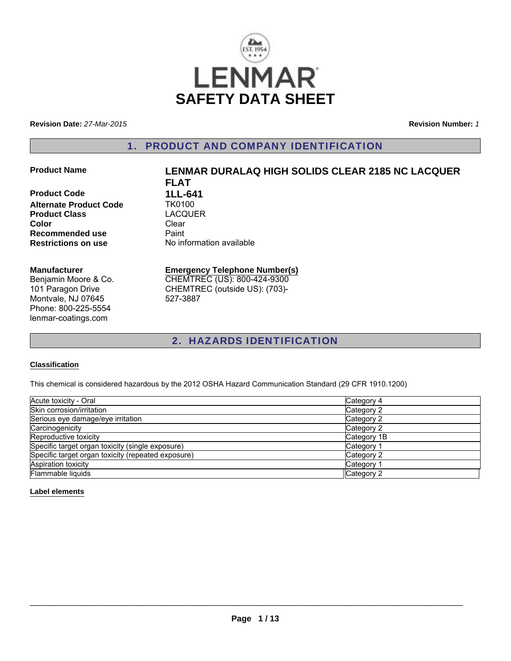

**Revision Date:** *27-Mar-2015*

**Revision Number:** *1*

#### 1. PRODUCT AND COMPANY IDENTIFICATION

**Product Code 1LL-641**<br>**Alternate Product Code 1K0100 Alternate Product Code Product Class** LACQUER **Color** Clear **Recommended use** Paint<br> **Restrictions on use** No inf

# **Product Name LENMAR DURALAQ HIGH SOLIDS CLEAR 2185 NC LACQUER FLAT No information available**

**Manufacturer**

Benjamin Moore & Co. 101 Paragon Drive Montvale, NJ 07645 Phone: 800-225-5554 lenmar-coatings.com

#### **Emergency Telephone Number(s)** CHEMTREC (US): 800-424-9300

CHEMTREC (outside US): (703)- 527-3887

## 2. HAZARDS IDENTIFICATION

#### **Classification**

This chemical is considered hazardous by the 2012 OSHA Hazard Communication Standard (29 CFR 1910.1200)

| Acute toxicity - Oral                              | Category 4            |
|----------------------------------------------------|-----------------------|
| Skin corrosion/irritation                          | Category 2            |
| Serious eye damage/eye irritation                  | Category 2            |
| Carcinogenicity                                    | Category 2            |
| Reproductive toxicity                              | Category 1B           |
| Specific target organ toxicity (single exposure)   | Category 1            |
| Specific target organ toxicity (repeated exposure) | Category 2            |
| <b>Aspiration toxicity</b>                         | Category <sup>1</sup> |
| Flammable liquids                                  | Category 2            |

#### **Label elements**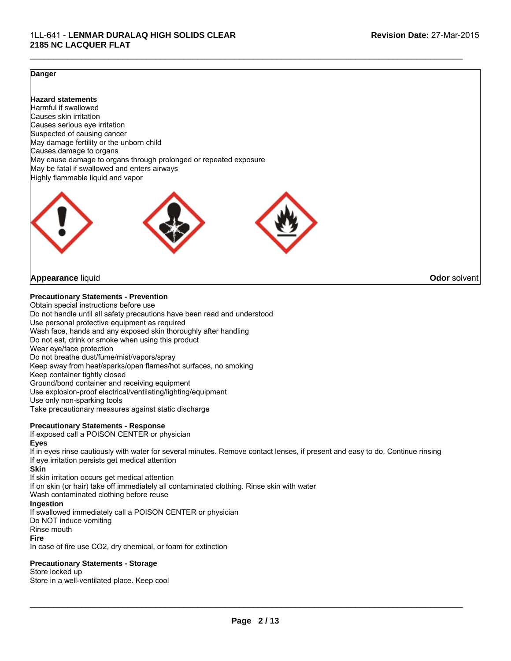#### **Danger**

**Hazard statements** Harmful if swallowed Causes skin irritation Causes serious eye irritation Suspected of causing cancer May damage fertility or the unborn child Causes damage to organs May cause damage to organs through prolonged or repeated exposure May be fatal if swallowed and enters airways Highly flammable liquid and vapor



#### **Appearance** liquid **Odor** solvent

#### **Precautionary Statements - Prevention**

Obtain special instructions before use Do not handle until all safety precautions have been read and understood Use personal protective equipment as required Wash face, hands and any exposed skin thoroughly after handling Do not eat, drink or smoke when using this product Wear eye/face protection Do not breathe dust/fume/mist/vapors/spray Keep away from heat/sparks/open flames/hot surfaces, no smoking Keep container tightly closed Ground/bond container and receiving equipment Use explosion-proof electrical/ventilating/lighting/equipment Use only non-sparking tools Take precautionary measures against static discharge

#### **Precautionary Statements - Response**

If exposed call a POISON CENTER or physician

#### **Eyes**

If in eyes rinse cautiously with water for several minutes. Remove contact lenses, if present and easy to do. Continue rinsing If eye irritation persists get medical attention

 $\mathcal{L}_\mathcal{L} = \{ \mathcal{L}_\mathcal{L} = \{ \mathcal{L}_\mathcal{L} = \{ \mathcal{L}_\mathcal{L} = \{ \mathcal{L}_\mathcal{L} = \{ \mathcal{L}_\mathcal{L} = \{ \mathcal{L}_\mathcal{L} = \{ \mathcal{L}_\mathcal{L} = \{ \mathcal{L}_\mathcal{L} = \{ \mathcal{L}_\mathcal{L} = \{ \mathcal{L}_\mathcal{L} = \{ \mathcal{L}_\mathcal{L} = \{ \mathcal{L}_\mathcal{L} = \{ \mathcal{L}_\mathcal{L} = \{ \mathcal{L}_\mathcal{$ 

#### **Skin**

If skin irritation occurs get medical attention If on skin (or hair) take off immediately all contaminated clothing. Rinse skin with water Wash contaminated clothing before reuse **Ingestion** If swallowed immediately call a POISON CENTER or physician Do NOT induce vomiting Rinse mouth **Fire**

In case of fire use CO2, dry chemical, or foam for extinction

#### **Precautionary Statements - Storage**

Store locked up

Store in a well-ventilated place. Keep cool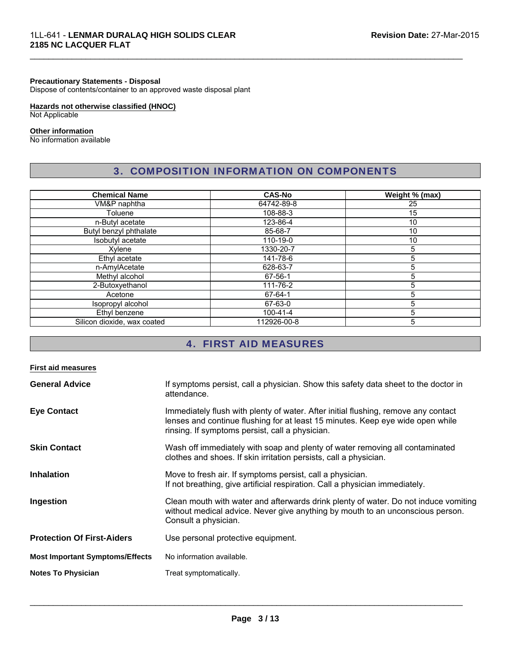#### **Precautionary Statements - Disposal**

Dispose of contents/container to an approved waste disposal plant

#### **Hazards not otherwise classified (HNOC)**

Not Applicable

#### **Other information**

No information available

#### 3. COMPOSITION INFORMATION ON COMPONENTS

 $\mathcal{L}_\mathcal{L} = \{ \mathcal{L}_\mathcal{L} = \{ \mathcal{L}_\mathcal{L} = \{ \mathcal{L}_\mathcal{L} = \{ \mathcal{L}_\mathcal{L} = \{ \mathcal{L}_\mathcal{L} = \{ \mathcal{L}_\mathcal{L} = \{ \mathcal{L}_\mathcal{L} = \{ \mathcal{L}_\mathcal{L} = \{ \mathcal{L}_\mathcal{L} = \{ \mathcal{L}_\mathcal{L} = \{ \mathcal{L}_\mathcal{L} = \{ \mathcal{L}_\mathcal{L} = \{ \mathcal{L}_\mathcal{L} = \{ \mathcal{L}_\mathcal{$ 

| <b>Chemical Name</b>        | <b>CAS-No</b> | Weight % (max) |
|-----------------------------|---------------|----------------|
| VM&P naphtha                | 64742-89-8    | 25             |
| Toluene                     | 108-88-3      | 15             |
| n-Butyl acetate             | 123-86-4      | 10             |
| Butyl benzyl phthalate      | 85-68-7       | 10             |
| Isobutyl acetate            | 110-19-0      | 10             |
| Xvlene                      | 1330-20-7     | 5              |
| Ethyl acetate               | 141-78-6      | 5              |
| n-AmylAcetate               | 628-63-7      | 5              |
| Methyl alcohol              | 67-56-1       | 5              |
| 2-Butoxyethanol             | 111-76-2      | 5              |
| Acetone                     | 67-64-1       | 5              |
| Isopropyl alcohol           | 67-63-0       | 5              |
| Ethyl benzene               | 100-41-4      | 5              |
| Silicon dioxide, wax coated | 112926-00-8   | 5              |

# 4. FIRST AID MEASURES

| <b>First aid measures</b>              |                                                                                                                                                                                                                         |
|----------------------------------------|-------------------------------------------------------------------------------------------------------------------------------------------------------------------------------------------------------------------------|
| <b>General Advice</b>                  | If symptoms persist, call a physician. Show this safety data sheet to the doctor in<br>attendance.                                                                                                                      |
| <b>Eye Contact</b>                     | Immediately flush with plenty of water. After initial flushing, remove any contact<br>lenses and continue flushing for at least 15 minutes. Keep eye wide open while<br>rinsing. If symptoms persist, call a physician. |
| <b>Skin Contact</b>                    | Wash off immediately with soap and plenty of water removing all contaminated<br>clothes and shoes. If skin irritation persists, call a physician.                                                                       |
| <b>Inhalation</b>                      | Move to fresh air. If symptoms persist, call a physician.<br>If not breathing, give artificial respiration. Call a physician immediately.                                                                               |
| Ingestion                              | Clean mouth with water and afterwards drink plenty of water. Do not induce vomiting<br>without medical advice. Never give anything by mouth to an unconscious person.<br>Consult a physician.                           |
| <b>Protection Of First-Aiders</b>      | Use personal protective equipment.                                                                                                                                                                                      |
| <b>Most Important Symptoms/Effects</b> | No information available.                                                                                                                                                                                               |
| <b>Notes To Physician</b>              | Treat symptomatically.                                                                                                                                                                                                  |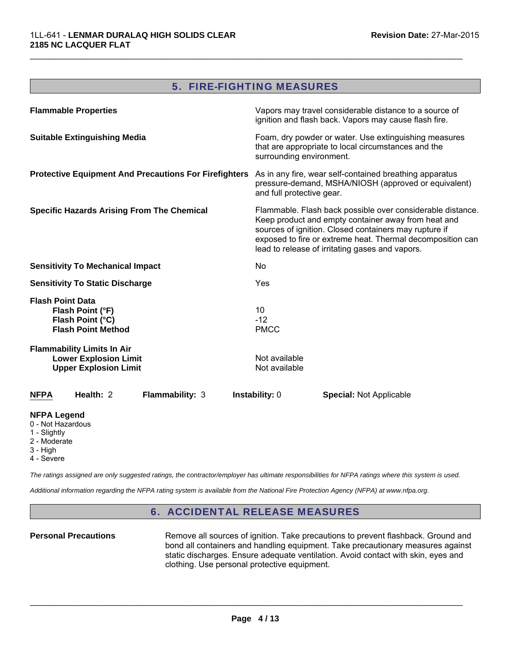#### 5. FIRE-FIGHTING MEASURES

 $\mathcal{L}_\mathcal{L} = \{ \mathcal{L}_\mathcal{L} = \{ \mathcal{L}_\mathcal{L} = \{ \mathcal{L}_\mathcal{L} = \{ \mathcal{L}_\mathcal{L} = \{ \mathcal{L}_\mathcal{L} = \{ \mathcal{L}_\mathcal{L} = \{ \mathcal{L}_\mathcal{L} = \{ \mathcal{L}_\mathcal{L} = \{ \mathcal{L}_\mathcal{L} = \{ \mathcal{L}_\mathcal{L} = \{ \mathcal{L}_\mathcal{L} = \{ \mathcal{L}_\mathcal{L} = \{ \mathcal{L}_\mathcal{L} = \{ \mathcal{L}_\mathcal{$ 

| <b>Flammable Properties</b>                                                                       |                                                              |                                | Vapors may travel considerable distance to a source of<br>ignition and flash back. Vapors may cause flash fire.                                                                                                                                                                             |
|---------------------------------------------------------------------------------------------------|--------------------------------------------------------------|--------------------------------|---------------------------------------------------------------------------------------------------------------------------------------------------------------------------------------------------------------------------------------------------------------------------------------------|
| <b>Suitable Extinguishing Media</b>                                                               |                                                              | surrounding environment.       | Foam, dry powder or water. Use extinguishing measures<br>that are appropriate to local circumstances and the                                                                                                                                                                                |
|                                                                                                   | <b>Protective Equipment And Precautions For Firefighters</b> | and full protective gear.      | As in any fire, wear self-contained breathing apparatus<br>pressure-demand, MSHA/NIOSH (approved or equivalent)                                                                                                                                                                             |
| <b>Specific Hazards Arising From The Chemical</b>                                                 |                                                              |                                | Flammable. Flash back possible over considerable distance.<br>Keep product and empty container away from heat and<br>sources of ignition. Closed containers may rupture if<br>exposed to fire or extreme heat. Thermal decomposition can<br>lead to release of irritating gases and vapors. |
| <b>Sensitivity To Mechanical Impact</b>                                                           |                                                              | No                             |                                                                                                                                                                                                                                                                                             |
| <b>Sensitivity To Static Discharge</b>                                                            |                                                              | Yes                            |                                                                                                                                                                                                                                                                                             |
| <b>Flash Point Data</b><br>Flash Point (°F)<br>Flash Point (°C)<br><b>Flash Point Method</b>      |                                                              | 10<br>$-12$<br><b>PMCC</b>     |                                                                                                                                                                                                                                                                                             |
| <b>Flammability Limits In Air</b><br><b>Lower Explosion Limit</b><br><b>Upper Explosion Limit</b> |                                                              | Not available<br>Not available |                                                                                                                                                                                                                                                                                             |
| Health: 2<br><b>NFPA</b>                                                                          | Flammability: 3                                              | Instability: 0                 | <b>Special: Not Applicable</b>                                                                                                                                                                                                                                                              |

#### **NFPA Legend**

- 0 Not Hazardous
- 1 Slightly
- 2 Moderate
- 3 High
- 4 Severe

*The ratings assigned are only suggested ratings, the contractor/employer has ultimate responsibilities for NFPA ratings where this system is used.*

*Additional information regarding the NFPA rating system is available from the National Fire Protection Agency (NFPA) at www.nfpa.org.*

#### 6. ACCIDENTAL RELEASE MEASURES

**Personal Precautions** Remove all sources of ignition. Take precautions to prevent flashback. Ground and bond all containers and handling equipment. Take precautionary measures against static discharges. Ensure adequate ventilation. Avoid contact with skin, eyes and clothing. Use personal protective equipment.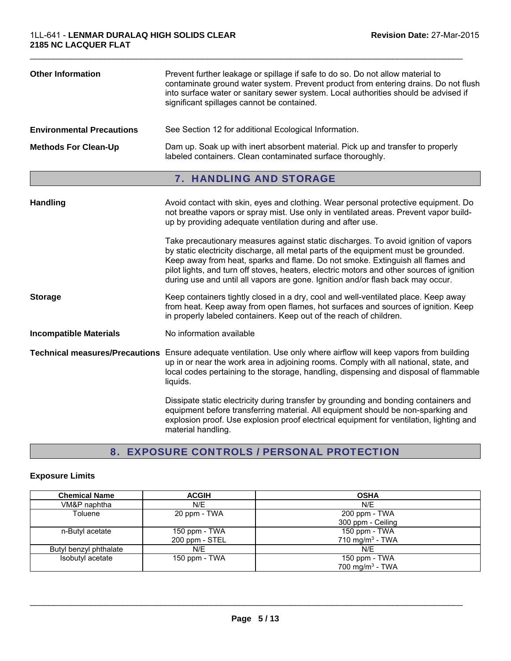| <b>Other Information</b>         | Prevent further leakage or spillage if safe to do so. Do not allow material to<br>contaminate ground water system. Prevent product from entering drains. Do not flush<br>into surface water or sanitary sewer system. Local authorities should be advised if<br>significant spillages cannot be contained.                                                                                                                                  |  |
|----------------------------------|---------------------------------------------------------------------------------------------------------------------------------------------------------------------------------------------------------------------------------------------------------------------------------------------------------------------------------------------------------------------------------------------------------------------------------------------|--|
| <b>Environmental Precautions</b> | See Section 12 for additional Ecological Information.                                                                                                                                                                                                                                                                                                                                                                                       |  |
| <b>Methods For Clean-Up</b>      | Dam up. Soak up with inert absorbent material. Pick up and transfer to properly<br>labeled containers. Clean contaminated surface thoroughly.                                                                                                                                                                                                                                                                                               |  |
|                                  | 7. HANDLING AND STORAGE                                                                                                                                                                                                                                                                                                                                                                                                                     |  |
| <b>Handling</b>                  | Avoid contact with skin, eyes and clothing. Wear personal protective equipment. Do<br>not breathe vapors or spray mist. Use only in ventilated areas. Prevent vapor build-<br>up by providing adequate ventilation during and after use.                                                                                                                                                                                                    |  |
|                                  | Take precautionary measures against static discharges. To avoid ignition of vapors<br>by static electricity discharge, all metal parts of the equipment must be grounded.<br>Keep away from heat, sparks and flame. Do not smoke. Extinguish all flames and<br>pilot lights, and turn off stoves, heaters, electric motors and other sources of ignition<br>during use and until all vapors are gone. Ignition and/or flash back may occur. |  |
| <b>Storage</b>                   | Keep containers tightly closed in a dry, cool and well-ventilated place. Keep away<br>from heat. Keep away from open flames, hot surfaces and sources of ignition. Keep<br>in properly labeled containers. Keep out of the reach of children.                                                                                                                                                                                               |  |
| <b>Incompatible Materials</b>    | No information available                                                                                                                                                                                                                                                                                                                                                                                                                    |  |
|                                  | Technical measures/Precautions Ensure adequate ventilation. Use only where airflow will keep vapors from building<br>up in or near the work area in adjoining rooms. Comply with all national, state, and<br>local codes pertaining to the storage, handling, dispensing and disposal of flammable<br>liquids.                                                                                                                              |  |
|                                  | Dissipate static electricity during transfer by grounding and bonding containers and<br>equipment before transferring material. All equipment should be non-sparking and<br>explosion proof. Use explosion proof electrical equipment for ventilation, lighting and                                                                                                                                                                         |  |

# 8. EXPOSURE CONTROLS / PERSONAL PROTECTION

material handling.

#### **Exposure Limits**

| <b>Chemical Name</b>   | <b>ACGIH</b>    | <b>OSHA</b>                 |  |
|------------------------|-----------------|-----------------------------|--|
| VM&P naphtha           | N/E             | N/E                         |  |
| Toluene                | 20 ppm - TWA    | 200 ppm - TWA               |  |
|                        |                 | 300 ppm - Ceiling           |  |
| n-Butyl acetate        | 150 ppm $-$ TWA | 150 ppm - TWA               |  |
|                        | 200 ppm - STEL  | 710 mg/m <sup>3</sup> - TWA |  |
| Butyl benzyl phthalate | N/E             | N/E                         |  |
| Isobutyl acetate       | 150 ppm - TWA   | 150 ppm - TWA               |  |
|                        |                 | 700 mg/m <sup>3</sup> - TWA |  |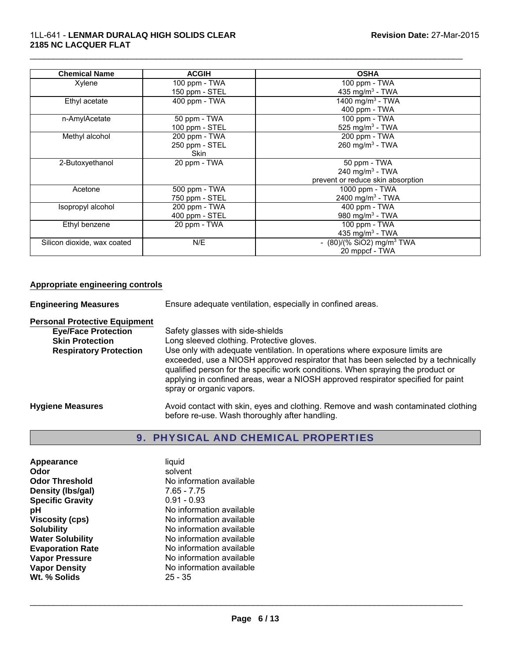| <b>Chemical Name</b>        | <b>ACGIH</b>   | <b>OSHA</b>                             |
|-----------------------------|----------------|-----------------------------------------|
| Xylene                      | 100 ppm - TWA  | 100 ppm - TWA                           |
|                             | 150 ppm - STEL | 435 mg/m <sup>3</sup> - TWA             |
| Ethyl acetate               | 400 ppm - TWA  | 1400 mg/m <sup>3</sup> - TWA            |
|                             |                | 400 ppm - TWA                           |
| n-AmylAcetate               | 50 ppm - TWA   | 100 ppm - TWA                           |
|                             | 100 ppm - STEL | 525 mg/m <sup>3</sup> - TWA             |
| Methyl alcohol              | 200 ppm - TWA  | 200 ppm - TWA                           |
|                             | 250 ppm - STEL | 260 mg/m $3$ - TWA                      |
|                             | <b>Skin</b>    |                                         |
| 2-Butoxyethanol             | 20 ppm - TWA   | 50 ppm - TWA                            |
|                             |                | 240 mg/m $3$ - TWA                      |
|                             |                | prevent or reduce skin absorption       |
| Acetone                     | 500 ppm - TWA  | 1000 ppm - TWA                          |
|                             | 750 ppm - STEL | 2400 mg/m <sup>3</sup> - TWA            |
| Isopropyl alcohol           | 200 ppm - TWA  | 400 ppm - TWA                           |
|                             | 400 ppm - STEL | 980 mg/m <sup>3</sup> - TWA             |
| Ethyl benzene               | 20 ppm - TWA   | 100 ppm - TWA                           |
|                             |                | 435 mg/m <sup>3</sup> - TWA             |
| Silicon dioxide, wax coated | N/E            | - $(80)/(%$ SiO2) mg/m <sup>3</sup> TWA |
|                             |                | 20 mppcf - TWA                          |

#### **Appropriate engineering controls**

**Engineering Measures** Ensure adequate ventilation, especially in confined areas. **Personal Protective Equipment**<br>**Eye/Face Protection Eye/Face Protection**<br>
Safety glasses with side-shields<br>
Skin Protection<br>
Long sleeved clothing. Protective Long sleeved clothing. Protective gloves. **Respiratory Protection** Use only with adequate ventilation. In operations where exposure limits are exceeded, use a NIOSH approved respirator that has been selected by a technically qualified person for the specific work conditions. When spraying the product or applying in confined areas, wear a NIOSH approved respirator specified for paint

spray or organic vapors.

Hygiene Measures **Avoid contact with skin, eyes and clothing. Remove and wash contaminated clothing** before re-use. Wash thoroughly after handling.

#### 9. PHYSICAL AND CHEMICAL PROPERTIES

| Appearance              | liquid                   |
|-------------------------|--------------------------|
| Odor                    | solvent                  |
| <b>Odor Threshold</b>   | No information available |
| Density (Ibs/gal)       | 7.65 - 7.75              |
| <b>Specific Gravity</b> | $0.91 - 0.93$            |
| рH                      | No information available |
| <b>Viscosity (cps)</b>  | No information available |
| <b>Solubility</b>       | No information available |
| <b>Water Solubility</b> | No information available |
| <b>Evaporation Rate</b> | No information available |
| <b>Vapor Pressure</b>   | No information available |
| <b>Vapor Density</b>    | No information available |
| Wt. % Solids            | $25 - 35$                |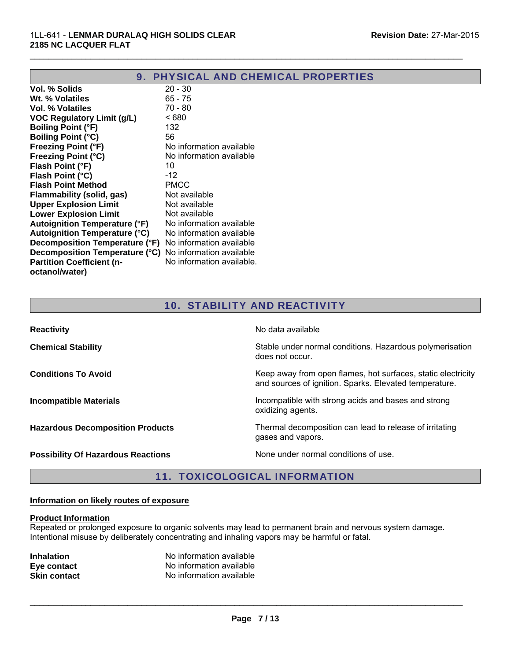|                                      | <b>9. PHYSICAL AND CHEMICAL PROPERTIES</b> |
|--------------------------------------|--------------------------------------------|
| Vol. % Solids                        | $20 - 30$                                  |
| Wt. % Volatiles                      | $65 - 75$                                  |
| Vol. % Volatiles                     | 70 - 80                                    |
| <b>VOC Regulatory Limit (g/L)</b>    | <680                                       |
| <b>Boiling Point (°F)</b>            | 132                                        |
| <b>Boiling Point (°C)</b>            | 56                                         |
| <b>Freezing Point (°F)</b>           | No information available                   |
| <b>Freezing Point (°C)</b>           | No information available                   |
| Flash Point (°F)                     | 10                                         |
| Flash Point (°C)                     | $-12$                                      |
| <b>Flash Point Method</b>            | <b>PMCC</b>                                |
| Flammability (solid, gas)            | Not available                              |
| <b>Upper Explosion Limit</b>         | Not available                              |
| <b>Lower Explosion Limit</b>         | Not available                              |
| <b>Autoignition Temperature (°F)</b> | No information available                   |
| <b>Autoignition Temperature (°C)</b> | No information available                   |
| Decomposition Temperature (°F)       | No information available                   |
| Decomposition Temperature (°C)       | No information available                   |
| <b>Partition Coefficient (n-</b>     | No information available.                  |
| octanol/water)                       |                                            |

## 10. STABILITY AND REACTIVITY

| <b>Reactivity</b>                         | No data available                                                                                                      |
|-------------------------------------------|------------------------------------------------------------------------------------------------------------------------|
| <b>Chemical Stability</b>                 | Stable under normal conditions. Hazardous polymerisation<br>does not occur.                                            |
| <b>Conditions To Avoid</b>                | Keep away from open flames, hot surfaces, static electricity<br>and sources of ignition. Sparks. Elevated temperature. |
| <b>Incompatible Materials</b>             | Incompatible with strong acids and bases and strong<br>oxidizing agents.                                               |
| <b>Hazardous Decomposition Products</b>   | Thermal decomposition can lead to release of irritating<br>gases and vapors.                                           |
| <b>Possibility Of Hazardous Reactions</b> | None under normal conditions of use.                                                                                   |

#### 11. TOXICOLOGICAL INFORMATION

#### **Information on likely routes of exposure**

#### **Product Information**

Repeated or prolonged exposure to organic solvents may lead to permanent brain and nervous system damage. Intentional misuse by deliberately concentrating and inhaling vapors may be harmful or fatal.

| <b>Inhalation</b>   | No information available |
|---------------------|--------------------------|
| Eye contact         | No information available |
| <b>Skin contact</b> | No information available |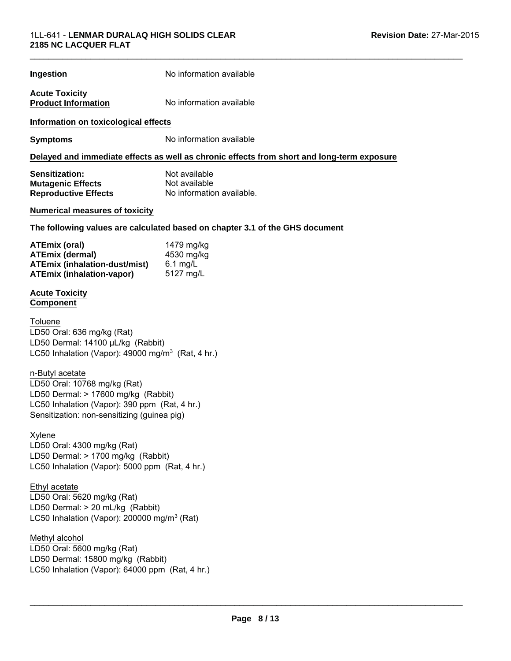| Ingestion                                                                                                                                                                              | No information available                                                                   |  |
|----------------------------------------------------------------------------------------------------------------------------------------------------------------------------------------|--------------------------------------------------------------------------------------------|--|
| <b>Acute Toxicity</b><br><b>Product Information</b>                                                                                                                                    | No information available                                                                   |  |
| Information on toxicological effects                                                                                                                                                   |                                                                                            |  |
| <b>Symptoms</b>                                                                                                                                                                        | No information available                                                                   |  |
|                                                                                                                                                                                        | Delayed and immediate effects as well as chronic effects from short and long-term exposure |  |
| Sensitization:<br><b>Mutagenic Effects</b><br><b>Reproductive Effects</b>                                                                                                              | Not available<br>Not available<br>No information available.                                |  |
| <b>Numerical measures of toxicity</b>                                                                                                                                                  |                                                                                            |  |
|                                                                                                                                                                                        | The following values are calculated based on chapter 3.1 of the GHS document               |  |
| <b>ATEmix (oral)</b><br><b>ATEmix (dermal)</b><br><b>ATEmix (inhalation-dust/mist)</b><br><b>ATEmix (inhalation-vapor)</b>                                                             | 1479 mg/kg<br>4530 mg/kg<br>6.1 mg/L<br>5127 mg/L                                          |  |
| <b>Acute Toxicity</b><br><b>Component</b>                                                                                                                                              |                                                                                            |  |
| Toluene<br>LD50 Oral: 636 mg/kg (Rat)<br>LD50 Dermal: 14100 µL/kg (Rabbit)<br>LC50 Inhalation (Vapor): $49000$ mg/m <sup>3</sup> (Rat, 4 hr.)                                          |                                                                                            |  |
| n-Butyl acetate<br>LD50 Oral: 10768 mg/kg (Rat)<br>LD50 Dermal: > 17600 mg/kg (Rabbit)<br>LC50 Inhalation (Vapor): 390 ppm (Rat, 4 hr.)<br>Sensitization: non-sensitizing (guinea pig) |                                                                                            |  |
| Xylene<br>LD50 Oral: 4300 mg/kg (Rat)<br>LD50 Dermal: > 1700 mg/kg (Rabbit)<br>LC50 Inhalation (Vapor): 5000 ppm (Rat, 4 hr.)                                                          |                                                                                            |  |
| Ethyl acetate<br>LD50 Oral: 5620 mg/kg (Rat)<br>LD50 Dermal: > 20 mL/kg (Rabbit)<br>LC50 Inhalation (Vapor): 200000 mg/m <sup>3</sup> (Rat)                                            |                                                                                            |  |
| Methyl alcohol<br>LD50 Oral: 5600 mg/kg (Rat)<br>LD50 Dermal: 15800 mg/kg (Rabbit)<br>LC50 Inhalation (Vapor): 64000 ppm (Rat, 4 hr.)                                                  |                                                                                            |  |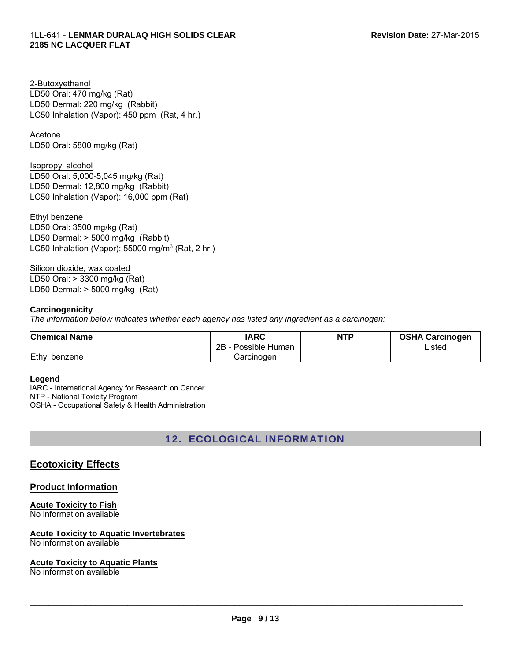LD50 Oral: 470 mg/kg (Rat) LD50 Dermal: 220 mg/kg (Rabbit) 2-Butoxyethanol LC50 Inhalation (Vapor): 450 ppm (Rat, 4 hr.)

Acetone

LD50 Oral: 5800 mg/kg (Rat)

Isopropyl alcohol LD50 Oral: 5,000-5,045 mg/kg (Rat) LD50 Dermal: 12,800 mg/kg (Rabbit) LC50 Inhalation (Vapor): 16,000 ppm (Rat)

LD50 Dermal: > 5000 mg/kg (Rabbit) LC50 Inhalation (Vapor): 55000 mg/m<sup>3</sup> (Rat, 2 hr.) Ethyl benzene LD50 Oral: 3500 mg/kg (Rat)

Silicon dioxide, wax coated LD50 Oral: > 3300 mg/kg (Rat) LD50 Dermal: > 5000 mg/kg (Rat)

#### **Carcinogenicity**

*The information below indicates whether each agency has listed any ingredient as a carcinogen:*

| <b>Chemical Name</b> | IARC                 | <b>NTP</b> | <b>OSHA Carcinogen</b> |
|----------------------|----------------------|------------|------------------------|
|                      | 2B<br>Possible Human |            | Listed                 |
| Ethyl benzene        | Carcinogen           |            |                        |

 $\mathcal{L}_\mathcal{L} = \{ \mathcal{L}_\mathcal{L} = \{ \mathcal{L}_\mathcal{L} = \{ \mathcal{L}_\mathcal{L} = \{ \mathcal{L}_\mathcal{L} = \{ \mathcal{L}_\mathcal{L} = \{ \mathcal{L}_\mathcal{L} = \{ \mathcal{L}_\mathcal{L} = \{ \mathcal{L}_\mathcal{L} = \{ \mathcal{L}_\mathcal{L} = \{ \mathcal{L}_\mathcal{L} = \{ \mathcal{L}_\mathcal{L} = \{ \mathcal{L}_\mathcal{L} = \{ \mathcal{L}_\mathcal{L} = \{ \mathcal{L}_\mathcal{$ 

#### **Legend**

IARC - International Agency for Research on Cancer NTP - National Toxicity Program OSHA - Occupational Safety & Health Administration

12. ECOLOGICAL INFORMATION

## **Ecotoxicity Effects**

**Product Information**

**Acute Toxicity to Fish** No information available

#### **Acute Toxicity to Aquatic Invertebrates**

No information available

#### **Acute Toxicity to Aquatic Plants**

No information available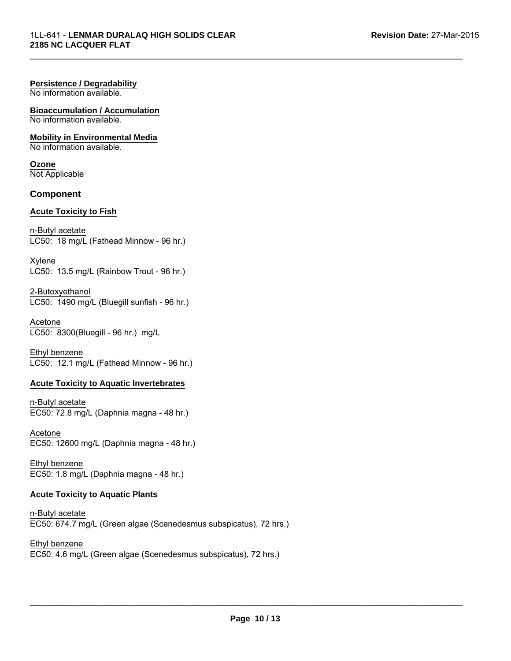#### **Persistence / Degradability**

No information available.

**Bioaccumulation / Accumulation** No information available.

**Mobility in Environmental Media** No information available.

**Ozone** Not Applicable

#### **Component**

#### **Acute Toxicity to Fish**

n-Butyl acetate LC50: 18 mg/L (Fathead Minnow - 96 hr.)

Xylene LC50: 13.5 mg/L (Rainbow Trout - 96 hr.)

2-Butoxyethanol LC50: 1490 mg/L (Bluegill sunfish - 96 hr.)

LC50: 8300(Bluegill - 96 hr.) mg/L Acetone

Ethyl benzene LC50: 12.1 mg/L (Fathead Minnow - 96 hr.)

#### **Acute Toxicity to Aquatic Invertebrates**

n-Butyl acetate EC50: 72.8 mg/L (Daphnia magna - 48 hr.)

Acetone EC50: 12600 mg/L (Daphnia magna - 48 hr.)

Ethyl benzene EC50: 1.8 mg/L (Daphnia magna - 48 hr.)

#### **Acute Toxicity to Aquatic Plants**

n-Butyl acetate EC50: 674.7 mg/L (Green algae (Scenedesmus subspicatus), 72 hrs.)

Ethyl benzene EC50: 4.6 mg/L (Green algae (Scenedesmus subspicatus), 72 hrs.)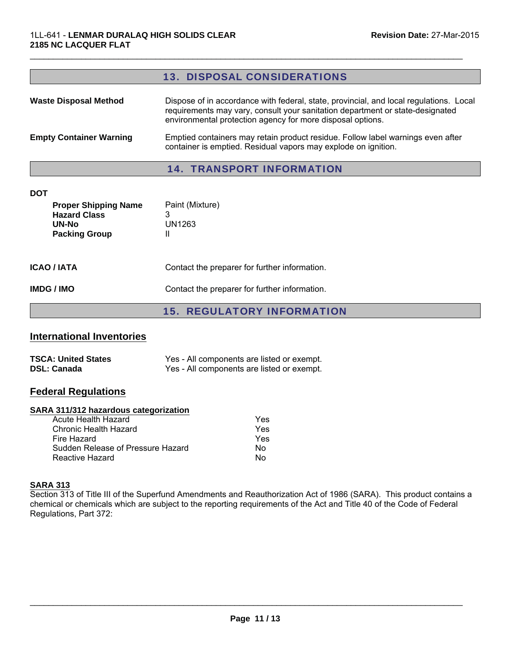# 13. DISPOSAL CONSIDERATIONS Waste Disposal Method Dispose of in accordance with federal, state, provincial, and local regulations. Local requirements may vary, consult your sanitation department or state-designated environmental protection agency for more disposal options. **Empty Container Warning Emptied containers may retain product residue. Follow label warnings even after** container is emptied. Residual vapors may explode on ignition. 14. TRANSPORT INFORMATION **DOT Proper Shipping Name** Paint (Mixture) **Hazard Class** 3 **UN-No** UN1263 **Packing Group 11**

 $\mathcal{L}_\mathcal{L} = \{ \mathcal{L}_\mathcal{L} = \{ \mathcal{L}_\mathcal{L} = \{ \mathcal{L}_\mathcal{L} = \{ \mathcal{L}_\mathcal{L} = \{ \mathcal{L}_\mathcal{L} = \{ \mathcal{L}_\mathcal{L} = \{ \mathcal{L}_\mathcal{L} = \{ \mathcal{L}_\mathcal{L} = \{ \mathcal{L}_\mathcal{L} = \{ \mathcal{L}_\mathcal{L} = \{ \mathcal{L}_\mathcal{L} = \{ \mathcal{L}_\mathcal{L} = \{ \mathcal{L}_\mathcal{L} = \{ \mathcal{L}_\mathcal{$ 

**ICAO / IATA** Contact the preparer for further information.

**IMDG / IMO** Contact the preparer for further information.

15. REGULATORY INFORMATION

#### **International Inventories**

| <b>TSCA: United States</b> | Yes - All components are listed or exempt. |
|----------------------------|--------------------------------------------|
| <b>DSL: Canada</b>         | Yes - All components are listed or exempt. |

#### **Federal Regulations**

#### **SARA 311/312 hazardous categorization**

| Acute Health Hazard               | Yes |
|-----------------------------------|-----|
| Chronic Health Hazard             | Yes |
| Fire Hazard                       | Yes |
| Sudden Release of Pressure Hazard | N٥  |
| Reactive Hazard                   | N٥  |

#### **SARA 313**

Section 313 of Title III of the Superfund Amendments and Reauthorization Act of 1986 (SARA). This product contains a chemical or chemicals which are subject to the reporting requirements of the Act and Title 40 of the Code of Federal Regulations, Part 372: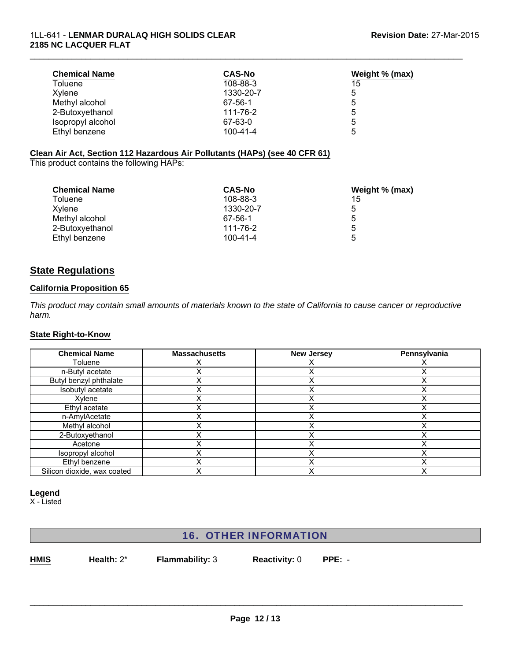| <b>Chemical Name</b> | <b>CAS-No</b>  | Weight % (max) |
|----------------------|----------------|----------------|
| Toluene              | 108-88-3       | 15             |
| Xvlene               | 1330-20-7      | 5              |
| Methyl alcohol       | 67-56-1        | 5              |
| 2-Butoxyethanol      | 111-76-2       | 5              |
| Isopropyl alcohol    | 67-63-0        | 5              |
| Ethyl benzene        | $100 - 41 - 4$ | 5              |

#### **Clean Air Act, Section 112 Hazardous Air Pollutants (HAPs) (see 40 CFR 61)**

This product contains the following HAPs:

| <b>Chemical Name</b> | <b>CAS-No</b>  | Weight % (max) |
|----------------------|----------------|----------------|
| Toluene              | 108-88-3       | 15             |
| Xylene               | 1330-20-7      | 5              |
| Methyl alcohol       | 67-56-1        | 5              |
| 2-Butoxyethanol      | 111-76-2       | 5              |
| Ethyl benzene        | $100 - 41 - 4$ | 5              |

## **State Regulations**

#### **California Proposition 65**

*This product may contain small amounts of materials known to the state of California to cause cancer or reproductive harm.*

#### **State Right-to-Know**

| <b>Chemical Name</b>        | <b>Massachusetts</b> | <b>New Jersey</b> | Pennsylvania |
|-----------------------------|----------------------|-------------------|--------------|
| Toluene                     |                      |                   |              |
| n-Butyl acetate             |                      |                   |              |
| Butyl benzyl phthalate      |                      |                   |              |
| Isobutyl acetate            |                      |                   |              |
| Xylene                      |                      |                   |              |
| Ethyl acetate               |                      |                   |              |
| n-AmylAcetate               |                      |                   |              |
| Methyl alcohol              |                      |                   |              |
| 2-Butoxyethanol             |                      |                   |              |
| Acetone                     |                      |                   |              |
| Isopropyl alcohol           |                      |                   |              |
| Ethyl benzene               |                      |                   |              |
| Silicon dioxide, wax coated |                      |                   |              |

#### **Legend**

X - Listed

# 16. OTHER INFORMATION

**HMIS**

**Health:** 2\* **Flammability:** 3 **Reactivity:** 0

**PPE:** -